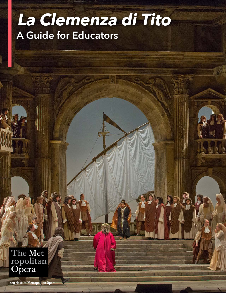# **La Clemenza di Tito** A Guide for Educators

The Met<br>ropolitan<br>Opera

Ken Howard/Metropolitan Opera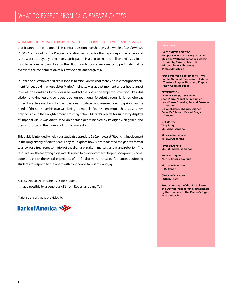#### WHAT ARE THE LIMITS OF FORGIVENESS? IS THERE A CRIME SO GRIEVOUS AND PERSONAL

that it cannot be pardoned? This central question overshadows the whole of La Clemenza di Tito. Composed for the Prague coronation festivities for the Hapsburg emperor Leopold II, the work portrays a young man's participation in a plot to incite rebellion and assassinate his ruler, whom he loves like a brother. But this ruler possesses a mercy so profligate that he overrides the condemnation of his own Senate and forgives all.

In 1791, the question of a ruler's response to rebellion was not merely an idle thought experiment for Leopold II, whose sister Marie Antoinette was at that moment under house arrest in revolution-era Paris. In the idealized world of the opera, the emperor Tito is god-like in his wisdom and kindness and conquers rebellion not through force but through leniency. Whereas other characters are drawn by their passions into deceit and insurrection, Tito prioritizes the needs of the state over his own well-being—a model of benevolent monarchical absolutism only possible in the Enlightenment-era imagination. Mozart's vehicle for such lofty displays of imperial virtue was opera seria, an operatic genre marked by its dignity, elegance, and thematic focus on the triumph of human morality.

This guide is intended to help your students appreciate La Clemenza di Tito and its involvement in the long history of opera seria. They will explore how Mozart adapted the genre's format to allow for a freer representation of the drama at stake in matters of love and rebellion. The resources on the following pages are designed to provide context, deepen background knowledge, and enrich the overall experience of this final dress rehearsal performance, equipping students to respond to the opera with confidence, familiarity, and joy.

Access Opera: Open Rehearsals for Students is made possible by a generous gift from Robert and Jane Toll

Major sponsorship is provided by



#### THE WORK:

LA CLEMENZA DI TITO An opera in two acts, sung in Italian Music by Wolfgang Amadeus Mozart Libretto by Caterino Mazzolà Adapted from a libretto by Pietro Metastasio

First performed September 6, 1791 at the National Theater (now Estates Theater), Prague, Hapsburg Empire (now Czech Republic)

#### **PRODUCTION**

Lothar Koenigs, Conductor Jean-Pierre Ponnelle, Production Jean-Pierre Ponnelle, Set and Costume **Designer** Gil Wechsler, Lighting Designer Peter McClintock, Revival Stage **Director** 

STARRING Ying Fang SERVILIA (soprano)

Elza van den Heever VITELLIA (soprano)

Joyce DiDonato SESTO (mezzo-soprano)

Emily D'Angelo ANNIO (mezzo-soprano)

Matthew Polenzani TITO (tenor)

Christian Van Horn PUBLIO (bass)

Production a gift of the Lila Acheson and DeWitt Wallace Fund, established by the founders of The Reader's Digest Association, Inc.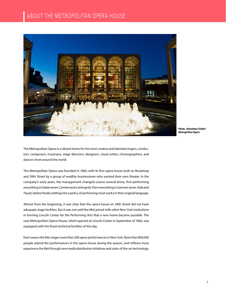

**Photo: Johnathan Tichler/ Metropolitan Opera**

The Metropolitan Opera is a vibrant home for the most creative and talented singers, conductors, composers, musicians, stage directors, designers, visual artists, choreographers, and dancers from around the world.

The Metropolitan Opera was founded in 1883, with its first opera house built on Broadway and 39th Street by a group of wealthy businessmen who wanted their own theater. In the company's early years, the management changed course several times, first performing everything in Italian (even Carmen and Lohengrin), then everything in German (even Aida and Faust), before finally settling into a policy of performing most works in their original language.

Almost from the beginning, it was clear that the opera house on 39th Street did not have adequate stage facilities. But it was not until the Met joined with other New York institutions in forming Lincoln Center for the Performing Arts that a new home became possible. The new Metropolitan Opera House, which opened at Lincoln Center in September of 1966, was equipped with the finest technical facilities of the day.

Each season the Met stages more than 200 opera performances in New York. More than 800,000 people attend the performances in the opera house during the season, and millions more experience the Met through new media distribution initiatives and state-of-the-art technology.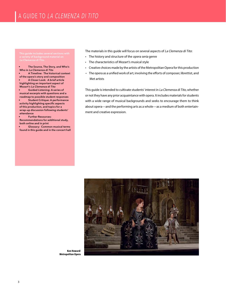a variety of background material on La Clemenza di Tito.

• The Source, The Story, and Who's Who in La Clemenza di Tito

• A Timeline: The historical context of the opera's story and composition • A Closer Look: A brief article highlighting an important aspect of Mozart's La Clemenza di Tito

Guided Listening: A series of musical excerpts with questions and a roadmap to possible student responses

Student Critique: A performance activity highlighting specific aspects of this production, and topics for a wrap-up discussion following students' attendance

• Further Resources: Recommendations for additional study, both online and in print

• Glossary: Common musical terms found in this guide and in the concert hall The materials in this guide will focus on several aspects of La Clemenza di Tito:

- The history and structure of the opera seria genre
- The characteristics of Mozart's musical style
- Creative choices made by the artists of the Metropolitan Opera for this production
- The opera as a unified work of art, involving the efforts of composer, librettist, and Met artists

This guide is intended to cultivate students' interest in La Clemenza di Tito, whether or not they have any prior acquaintance with opera. It includes materials for students with a wide range of musical backgrounds and seeks to encourage them to think about opera—and the performing arts as a whole—as a medium of both entertainment and creative expression.



**Ken Howard/ Metropolitan Opera**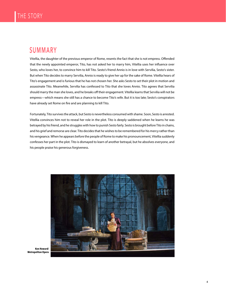### SUMMARY

Vitellia, the daughter of the previous emperor of Rome, resents the fact that she is not empress. Offended that the newly appointed emperor, Tito, has not asked her to marry him, Vitellia uses her influence over Sesto, who loves her, to convince him to kill Tito. Sesto's friend Annio is in love with Servilia, Sesto's sister. But when Tito decides to marry Servilia, Annio is ready to give her up for the sake of Rome. Vitellia hears of Tito's engagement and is furious that he has not chosen her. She asks Sesto to set their plot in motion and assassinate Tito. Meanwhile, Servilia has confessed to Tito that she loves Annio. Tito agrees that Servilia should marry the man she loves, and he breaks off their engagement. Vitellia learns that Servilia will not be empress—which means she still has a chance to become Tito's wife. But it is too late; Sesto's conspirators have already set Rome on fire and are planning to kill Tito.

Fortunately, Tito survives the attack, but Sesto is nevertheless consumed with shame. Soon, Sesto is arrested. Vitellia convinces him not to reveal her role in the plot. Tito is deeply saddened when he learns he was betrayed by his friend, and he struggles with how to punish Sesto fairly. Sesto is brought before Tito in chains, and his grief and remorse are clear. Tito decides that he wishes to be remembered for his mercy rather than his vengeance. When he appears before the people of Rome to make his pronouncement, Vitellia suddenly confesses her part in the plot. Tito is dismayed to learn of another betrayal, but he absolves everyone, and his people praise his generous forgiveness.



**Ken Howard/ Metropolitan Opera**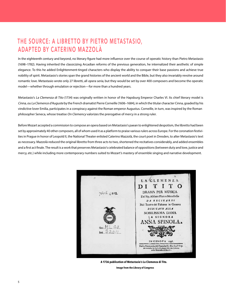### THE SOURCE: A LIBRETTO BY PIETRO METASTASIO, ADAPTED BY CATERINO MAZZOLÀ

In the eighteenth century and beyond, no literary figure had more influence over the course of operatic history than Pietro Metastasio (1698–1782). Having inherited the classicizing Arcadian reforms of the previous generation, he internalized their aesthetic of simple elegance. To this he added Enlightenment-tinged characters who display the ability to conquer their base passions and achieve true nobility of spirit. Metastasio's stories span the grand histories of the ancient world and the Bible, but they also invariably revolve around romantic love. Metastasio wrote only 27 libretti, all opera seria, but they would be set by over 400 composers and become the operatic model—whether through emulation or rejection—for more than a hundred years.

Metastasio's La Clemenza di Tito (1734) was originally written in honor of the Hapsburg Emperor Charles VI. Its chief literary model is Cinna, ou La Clemence d'Auguste by the French dramatist Pierre Corneille (1606–1684), in which the titular character Cinna, goaded by his vindictive lover Emilia, participates in a conspiracy against the Roman emperor Augustus. Corneille, in turn, was inspired by the Roman philosopher Seneca, whose treatise On Clemency valorizes the prerogative of mercy in a strong ruler.

Before Mozart accepted a commission to compose an opera based on Metastasio's paean to enlightened despotism, the libretto had been set by approximately 40 other composers, all of whom used it as a platform to praise various rulers across Europe. For the coronation festivities in Prague in honor of Leopold II, the National Theater enlisted Caterino Mazzolà, the court poet in Dresden, to alter Metastasio's text as necessary. Mazzolà reduced the original libretto from three acts to two, shortened the recitatives considerably, and added ensembles and a first act finale. The result is a work that preserves Metastasio's celebrated balance of oppositions (between duty and love, justice and mercy, etc.) while including more contemporary numbers suited to Mozart's mastery of ensemble singing and narrative development.



**Image from the Library of Congress A 1736 publication of Metastasio's La Clemenza di Tito.**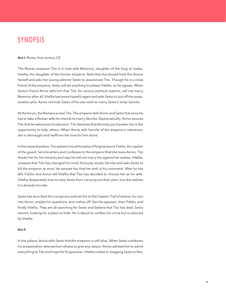## SYNOPSIS

#### Act I: Rome, first century CE

The Roman emperor Tito is in love with Berenice, daughter of the king of Judea. Vitellia, the daughter of the former emperor, feels that she should hold the throne herself and asks her young admirer Sesto to assassinate Tito. Though he is a close friend of the emperor, Sesto will do anything to please Vitellia, so he agrees. When Sesto's friend Annio tells him that Tito, for various political reasons, will not marry Berenice after all, Vitellia becomes hopeful again and asks Sesto to put off the assassination plot. Annio reminds Sesto of his own wish to marry Sesto's sister Servilia.

At the forum, the Romans praise Tito. The emperor tells Annio and Sesto that since he has to take a Roman wife he intends to marry Servilia. Diplomatically, Annio assures Tito that he welcomes his decision. Tito declares that the only joy of power lies in the opportunity to help others. When Annio tells Servilia of the emperor's intentions, she is distraught and reaffirms her love for him alone.

In the imperial palace, Tito explains his philosophy of forgiveness to Publio, the captain of the guard. Servilia enters and confesses to the emperor that she loves Annio. Tito thanks her for her honesty and says he will not marry her against her wishes. Vitellia, unaware that Tito has changed his mind, furiously insults Servilia and asks Sesto to kill the emperor at once. He assures her that her wish is his command. After he has left, Publio and Annio tell Vitellia that Tito has decided to choose her as his wife. Vitellia desperately tries to stop Sesto from carrying out their plan, but she realizes it is already too late.

Sesto has launched the conspiracy and set fire to the Capitol. Full of shame, he runs into Annio, evades his questions, and rushes off. Servilia appears, then Publio, and finally Vitellia. They are all searching for Sesto and believe that Tito has died. Sesto returns, looking for a place to hide. He is about to confess his crime but is silenced by Vitellia.

#### Act II

In the palace, Annio tells Sesto that the emperor is still alive. When Sesto confesses his assassination attempt but refuses to give any reason, Annio advises him to admit everything to Tito and hope for forgiveness. Vitellia rushes in, begging Sesto to flee,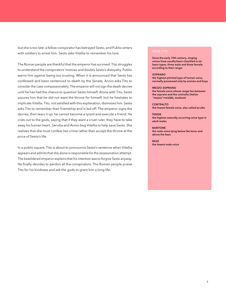but she is too late: a fellow conspirator has betrayed Sesto, and Publio enters with soldiers to arrest him. Sesto asks Vitellia to remember his love.

The Roman people are thankful that the emperor has survived. Tito struggles to understand the conspirators' motives and doubts Sesto's disloyalty. Publio warns him against being too trusting. When it is announced that Sesto has confessed and been sentenced to death by the Senate, Annio asks Tito to consider the case compassionately. The emperor will not sign the death decree until he has had the chance to question Sesto himself. Alone with Tito, Sesto assures him that he did not want the throne for himself, but he hesitates to implicate Vitellia. Tito, not satisfied with this explanation, dismisses him. Sesto asks Tito to remember their friendship and is led off. The emperor signs the decree, then tears it up: he cannot become a tyrant and execute a friend. He cries out to the gods, saying that if they want a cruel ruler, they have to take away his human heart. Servilia and Annio beg Vitellia to help save Sesto. She realizes that she must confess her crime rather than accept the throne at the price of Sesto's life.

In a public square, Tito is about to pronounce Sesto's sentence when Vitellia appears and admits that she alone is responsible for the assassination attempt. The bewildered emperor explains that his intention was to forgive Sesto anyway. He finally decides to pardon all the conspirators. The Roman people praise Tito for his kindness and ask the gods to grant him a long life.

Since the early 19th century, singing voices have usually been classified in six basic types, three male and three female, according to their range:

#### **SOPRANO**

the highest-pitched type of human voice, normally possessed only by women and boys

#### MEZZO-SOPRANO

the female voice whose range lies between the soprano and the contralto (Italian "mezzo"=middle, medium)

**CONTRALTO** the lowest female voice, also called an alto

**TENOR** the highest naturally occurring voice type in adult males

**BARITONE** the male voice lying below the tenor and above the bass

**BASS** the lowest male voice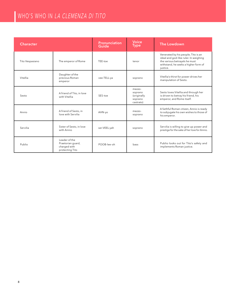## WHO'S WHO IN LA CLEMENZA DI TITO

| <b>Character</b> |                                                                       | <b>Pronunciation</b><br>Guide | <b>Voice</b><br><b>Type</b>                              | The Lowdown                                                                                                                                                       |
|------------------|-----------------------------------------------------------------------|-------------------------------|----------------------------------------------------------|-------------------------------------------------------------------------------------------------------------------------------------------------------------------|
| Tito Vespasiano  | The emperor of Rome                                                   | TEE-toe                       | tenor                                                    | Venerated by his people, Tito is an<br>ideal and god-like ruler. In weighing<br>the various betrayals he must<br>withstand, he seeks a higher form of<br>justice. |
| Vitellia         | Daughter of the<br>previous Roman<br>emperor                          | vee-TELL-ya                   | soprano                                                  | Vitellia's thirst for power drives her<br>manipulation of Sesto.                                                                                                  |
| Sesto            | A friend of Tito, in love<br>with Vitellia                            | SES-toe                       | mezzo-<br>soprano<br>(originally<br>soprano<br>castrato) | Sesto loves Vitellia and through her<br>is driven to betray his friend, his<br>emperor, and Rome itself.                                                          |
| Annio            | A friend of Sesto, in<br>love with Servilia                           | AHN-yo                        | mezzo-<br>soprano                                        | A faithful Roman citizen, Annio is ready<br>to subjugate his own wishes to those of<br>his emperor.                                                               |
| Servilia         | Sister of Sesto, in love<br>with Annio                                | ser-VEEL-yah                  | soprano                                                  | Servilia is willing to give up power and<br>prestige for the sake of her love for Annio.                                                                          |
| Publio           | Leader of the<br>Praetorian guard,<br>charged with<br>protecting Tito | POOB-lee-oh                   | bass                                                     | Publio looks out for Tito's safety and<br>implements Roman justice.                                                                                               |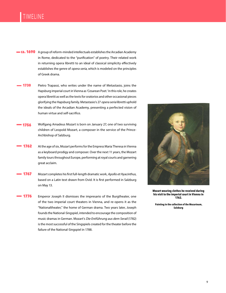### TIMELINE

- **ca. 1690** A group of reform-minded intellectuals establishes the Arcadian Academy in Rome, dedicated to the "purification" of poetry. Their related work in returning opera libretti to an ideal of classical simplicity effectively establishes the genre of opera seria, which is modeled on the principles of Greek drama.
- 1730 Pietro Trapassi, who writes under the name of Metastasio, joins the Hapsburg imperial court in Vienna as 'Cesarean Poet.' In this role, he creates opera libretti as well as the texts for oratorios and other occasional pieces glorifying the Hapsburg family. Metastasio's 27 opera seria libretti uphold the ideals of the Arcadian Academy, presenting a perfected vision of human virtue and self-sacrifice.
- Wolfgang Amadeus Mozart is born on January 27, one of two surviving children of Leopold Mozart, a composer in the service of the Prince-Archbishop of Salzburg. 1756
- At the age of six, Mozart performs for the Empress Maria Theresa in Vienna as a keyboard prodigy and composer. Over the next 11 years, the Mozart family tours throughout Europe, performing at royal courts and garnering great acclaim. 1762
- Mozart completes his first full-length dramatic work, Apollo et Hyacinthus, based on a Latin text drawn from Ovid. It is first performed in Salzburg on May 13. 1767
- Emperor Joseph II dismisses the impresario of the Burgtheater, one of the two imperial court theaters in Vienna, and re-opens it as the "Nationaltheater," the home of German drama. Two years later, Joseph founds the National-Singspiel, intended to encourage the composition of music dramas in German. Mozart's Die Entführung aus dem Serail (1782) is the most successful of the Singspiels created for the theater before the failure of the National-Singspiel in 1788. 1776



**Mozart wearing clothes he received during his visit to the imperial court in Vienna in 1762.**

**Painting in the collection of the Mozarteum, Salzburg**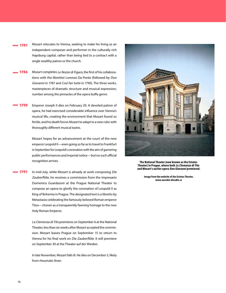- Mozart relocates to Vienna, seeking to make his living as an independent composer and performer in the culturally rich Hapsburg capital, rather than being tied to a contract with a single wealthy patron or the church. 1781
- Mozart completes Le Nozze di Figaro, the first of his collaborations with the librettist Lorenzo Da Ponte (followed by Don Giovanni in 1787 and Così fan tutte in 1790). The three works, masterpieces of dramatic structure and musical expression, number among the pinnacles of the opera buffa genre. 1786
- Emperor Joseph II dies on February 20. A devoted patron of opera, he had exercised considerable influence over Vienna's musical life, creating the environment that Mozart found so fertile, and his death forces Mozart to adapt to a new ruler with thoroughly different musical tastes. 1790

Mozart hopes for an advancement at the court of the new emperor Leopold II—even going so far as to travel to Frankfurt in September for Leopold's coronation with the aim of garnering public performances and imperial notice—but no such official recognition arrives.

In mid-July, while Mozart is already at work composing Die Zauberflöte, he receives a commission from the impresario Domenico Guardasoni at the Prague National Theater to compose an opera to glorify the coronation of Leopold II as King of Bohemia in Prague. The designated text is a libretto by Metastasio celebrating the famously beloved Roman emperor Titus—chosen as a transparently fawning homage to the new Holy Roman Emperor. 1791

> La Clemenza di Tito premieres on September 6 at the National Theater, less than six weeks after Mozart accepted the commission. Mozart leaves Prague on September 15 to return to Vienna for his final work on Die Zauberflöte. It will premiere on September 30 at the Theater auf der Wieden.

> In late November, Mozart falls ill. He dies on December 5, likely from rheumatic fever.



**The National Theater (now known as the Estates Theater) in Prague, where both La Clemenza di Tito and Mozart's earlier opera Don Giovanni premiered.**

**Image from the website of the Estates Theater, www.narodni-divadlo.cz**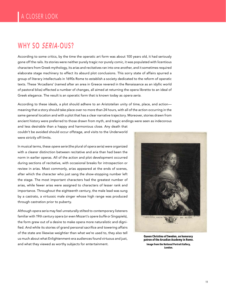## WHY SO SERIA-OUS?

According to some critics, by the time the operatic art form was about 100 years old, it had seriously gone off the rails. Its stories were neither purely tragic nor purely comic, it was populated with licentious characters from Greek mythology, its arias and recitatives ran into one another, and it sometimes required elaborate stage machinery to effect its absurd plot conclusions. This sorry state of affairs spurred a group of literary intellectuals in 1690s Rome to establish a society dedicated to the reform of operatic texts. These 'Arcadians' (named after an area in Greece revered in the Renaissance as an idyllic world of pastoral bliss) effected a number of changes, all aimed at returning the opera libretto to an ideal of Greek elegance. The result is an operatic form that is known today as opera seria.

According to these ideals, a plot should adhere to an Aristotelian unity of time, place, and action meaning that a story should take place over no more than 24 hours, with all of the action occurring in the same general location and with a plot that has a clear narrative trajectory. Moreover, stories drawn from ancient history were preferred to those drawn from myth, and tragic endings were seen as indecorous

and less desirable than a happy and harmonious close. Any death that couldn't be avoided should occur offstage, and visits to the Underworld were strictly off-limits.

In musical terms, these opere serie (the plural of opera seria) were organized with a clearer distinction between recitative and aria than had been the norm in earlier operas. All of the action and plot development occurred during sections of recitative, with occasional breaks for introspection or review in arias. Most commonly, arias appeared at the ends of scenes, after which the character who just sang the show-stopping number left the stage. The most important characters had the greatest number of arias, while fewer arias were assigned to characters of lesser rank and importance. Throughout the eighteenth century, the male lead was sung by a castrato, a virtuosic male singer whose high range was produced through castration prior to puberty.

Although opera seria may feel unnaturally stilted to contemporary listeners familiar with 19th century opera (or even Mozart's opere buffe or Singspiels), the form grew out of a desire to make opera more naturalistic and dignified. And while its stories of grand personal sacrifice and towering affairs of the state are likewise weightier than what we're used to, they also tell us much about what Enlightenment-era audiences found virtuous and just, and what they viewed as worthy subjects for entertainment.



**Queen Christina of Sweden, an honorary patron of the Arcadian Academy in Rome. Image from the National Portrait Gallery, London.**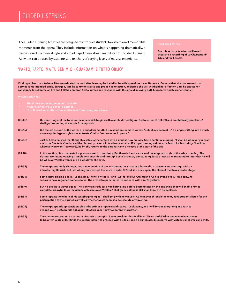## GUIDED LISTENING

The Guided Listening Activities are designed to introduce students to a selection of memorable moments from the opera. They include information on what is happening dramatically, a description of the musical style, and a roadmap of musical features to listen for. Guided Listening Activities can be used by students and teachers of varying levels of musical experience.

For this activity, teachers will need access to a recording of La Clemenza di Tito and the libretto.

### "PARTO, PARTO, MA TU BEN MIO – GUARDAMI E TUTTO OBLIO"

Vitellia put her plans to have Tito assassinated on hold after learning he had dismissed his previous lover, Berenice. But now that she has learned that Servilia is his intended bride. Enraged, Vitellia summons Sesto and prods him to action, declaring she will withhold her affection until he enacts her conspiracy to set Rome on fire and kill the emperor. Sesto agrees and responds with this aria, displaying both his resolve and his inner conflict.

- 
- 
- 

| (00:00) | Unison strings set the tone for the aria, which begins with a noble dotted figure. Sesto enters at (00:09) and emphatically proclaims "I<br>shall go," repeating the words for emphasis.                                                                                                                                                                                                                   |
|---------|------------------------------------------------------------------------------------------------------------------------------------------------------------------------------------------------------------------------------------------------------------------------------------------------------------------------------------------------------------------------------------------------------------|
| (00:16) | But almost as soon as the words are out of his mouth, his resolution seems to waver. "But, oh my dearest " he sings, shifting into a much<br>more supple, legato style as he entreats Vitellia, "return to me in peace."                                                                                                                                                                                   |
| (00:43) | Just as Sesto finishes that thought, a solo clarinet enters with a sinuous new melody. Sesto continues singing. "I shall be whoever you want<br>me to be," he tells Vitellia, and the clarinet proceeds in tandem, almost as if it is performing a duet with Sesto. As Sesto sings "I will do<br>whatever you want" at (01:06), he briefly returns to the emphatic style he used at the start of the aria. |
| (01:18) | In this section, Sesto repeats his previous text in its entirety. But there is hardly a trace of the emphatic style of the aria's opening. The<br>clarinet continues weaving its melody alongside and through Sesto's speech, punctuating Sesto's lines as he repeatedly states that he will<br>be whoever Vitellia wants and do whatever she says.                                                        |
| (02:52) | The tempo suddenly changes, and a new section of the aria begins. In a snappy allegro, the orchestra sets the stage with an<br>introductory flourish. But just when you'd expect the voice to enter (02:56), it is once again the clarinet that takes center stage.                                                                                                                                        |
| (03:04) | Sesto starts singing again. "Look at me," he tells Vitellia, "and I will forget everything and rush to avenge you." Musically, he<br>seems to have regained some resolve. The orchestra punctuates his cadence with a forte gesture.                                                                                                                                                                       |
| (03:19) | But he begins to waver again. The clarinet introduces a vacillating line before Sesto fixates on the one thing that will enable him to<br>complete his awful task: the glance of his beloved Vitellia. "That glance alone is all I shall think of," he declares.                                                                                                                                           |
| (03:51) | Sesto repeats the whole of his text (beginning at "I shall go") with new music. As he moves through the text, have students listen for the<br>participation of the clarinet, as well as whether Sesto seems to be resolute or wavering.                                                                                                                                                                    |
| (05:24) | The tempo speeds up considerably as the strings erupt in rapid scales. "Look at me, and I will forget everything and rush to<br>avenge you," Sesto bursts out again, all of his uncertainty apparently forgotten.                                                                                                                                                                                          |
| (05:36) | The clarinet returns with a series of virtuosic arpeggios. Sesto proclaims his final line: "Ah, ye gods! What power you have given<br>to beauty!" Sesto at last finds the determination to proceed with his task, and he punctuates his resolve with virtuosic melismas and trills.                                                                                                                        |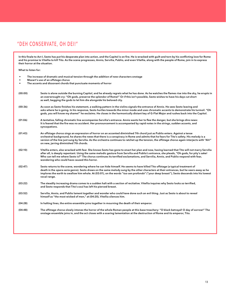### "DEH CONSERVATE, OH DEI!"

In this finale to Act I, Sesto has put his desperate plan into action, and the Capitol is on fire. He is wracked with guilt and torn by his conflicting love for Rome and his promise to Vitellia to kill Tito. As the scene progresses, Annio, Servilia, Publio, and even Vitellia, along with the people of Rome, join in to express their horror at the situation.

What to listen for:

|         | The increase of dramatic and musical tension through the addition of new characters onstage<br>Mozart's use of an offstage chorus<br>The accents and dissonant chords that punctuate moments of horror                                                                                                                                                                                                                                                                              |
|---------|-------------------------------------------------------------------------------------------------------------------------------------------------------------------------------------------------------------------------------------------------------------------------------------------------------------------------------------------------------------------------------------------------------------------------------------------------------------------------------------|
| (00:00) | Sesto is alone outside the burning Capitol, and he already regrets what he has done. As he watches the flames rise into the sky, he erupts in<br>an overwrought cry: "Oh gods, preserve the splendor of Rome!" Or if this isn't possible, Sesto wishes to have his days cut short<br>as well, begging the gods to let him die alongside his beloved city.                                                                                                                           |
| (00:36) | As soon as Sesto finishes his statement, a walking pattern in the violins signals the entrance of Annio. He sees Sesto leaving and<br>asks where he is going. In his response, Sesto hurtles towards the minor mode and uses chromatic accents to demonstrate his turmoil. "Oh<br>gods, you will know my shame!" he exclaims. He closes in the harmonically distant key of G-Flat Major and rushes back into the Capitol.                                                           |
| (01:06) | A tentative, falling chromatic line accompanies Servilia's entrance. Annio wants her to flee the danger, but she brings dire news:<br>It is feared that the fire was no accident. Her pronouncement is accompanied by rapid notes in the strings, sudden accents, and<br>syncopations.                                                                                                                                                                                              |
| (01:43) | An offstage chorus sings an expression of horror on an accented diminished 7th chord just as Publio enters. Against a tense<br>orchestral background, he shares the news that there is a conspiracy in Rome and admits that he fears for Tito's safety. His melody is a<br>version of the line just sung by Servilia. As the orchestra continues to ratchet up the tension, the offstage chorus again interjects with "Ah!"<br>on new, jarring diminished 7th chords.               |
| (02:10) | Vitellia enters, also wracked with fear. She knows Sesto has gone to enact her plan and now, having learned that Tito will not marry Servilia<br>after all, is deeply repentant. Using the same melodic gesture from Servilia and Publio's entrance, she pleads, "Oh gods, for pity's sake!<br>Who can tell me where Sesto is?" The chorus continues its terrified exclamations, and Servilia, Annio, and Publio respond with fear,<br>wondering who could have caused this horror. |
| (02:47) | Sesto returns to the scene, wondering where he can hide himself. He seems to have killed Tito offstage (a typical treatment of<br>death in the opera seria genre). Sesto draws on the same melody sung by the other characters at their entrances, but he veers away as he<br>implores the earth to swallow him whole. At (03:01), on the words "tuo sen profondo" ("your deep breast"), Sesto descends into his lowest<br>vocal range.                                             |
| (03:22) | The steadily increasing drama comes to a sudden halt with a section of recitative. Vitellia inquires why Sesto looks so terrified,<br>and Sesto responds that Tito's soul has left his pierced breast.                                                                                                                                                                                                                                                                              |
| (03:52) | Servilia, Annio, and Publio lament together and wonder who could have done such an evil thing. Just as Sesto is about to reveal<br>himself as "the most wicked of men," at (04:20), Vitellia silences him.                                                                                                                                                                                                                                                                          |
| (04:28) | In halting lines, the entire ensemble joins together in mourning the death of their emperor.                                                                                                                                                                                                                                                                                                                                                                                        |
| (04:48) | The offstage chorus slowly intones the horror of the whole Roman people at this base treachery: "O black betrayal! O day of sorrow!" The<br>onstage ensemble joins in, and the act closes with a soaring lamentation at the destruction of Rome and its emperor, Tito.                                                                                                                                                                                                              |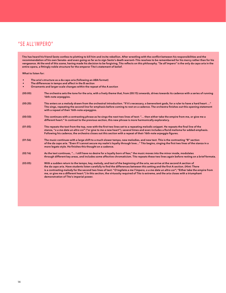### "SE ALL'IMPERO"

Tito has heard his friend Sesto confess to plotting to kill him and incite rebellion. After wrestling with the conflict between his responsibilities and the recommendation of his own Senate—and even going so far as to sign Sesto's death warrant—Tito resolves to be remembered for his mercy rather than for his vengeance. At the end of this scene, having made his decision to be forgiving, Tito reflects on this philosophy. "Se all'impero" is the only da capo aria in the entire opera, a fittingly noble structure for the emperor Tito's statement of belief.

What to listen for:

- The aria's structure as a da capo aria (following an ABA format)
- The differences in tempo and affect in the B section
- Ornaments and larger-scale changes within the repeat of the A section

| (00:00) | The orchestra sets the tone for the aria, with a lively theme that, from (00:15) onwards, drives towards its cadence with a series of running<br>16th-note arpeggios.                                                                                                                                                                                                                                                                                                                                                                                                                                   |
|---------|---------------------------------------------------------------------------------------------------------------------------------------------------------------------------------------------------------------------------------------------------------------------------------------------------------------------------------------------------------------------------------------------------------------------------------------------------------------------------------------------------------------------------------------------------------------------------------------------------------|
| (00:20) | Tito enters on a melody drawn from the orchestral introduction. "If it's necessary, o benevolent gods, for a ruler to have a hard heart "<br>Tito sings, repeating the second line for emphasis before coming to rest on a cadence. The orchestra finishes out this opening statement<br>with a repeat of their 16th-note arpeggios.                                                                                                                                                                                                                                                                    |
| (00:50) | Tito continues with a contrasting phrase as he sings the next two lines of text: " then either take the empire from me, or give me a<br>different heart." In contrast to the previous section, this new phrase is more harmonically exploratory.                                                                                                                                                                                                                                                                                                                                                        |
| (01:05) | Tito repeats the text from the top, now with the first two lines set to a repeating melodic snippet. He repeats the final line of the<br>stanza, "o a me date un altro cor" ("or give to me a new heart"), several times and even includes a florid melisma for added emphasis.<br>Following his cadence, the orchestra closes out this section with a repeat of their 16th-note arpeggio figures.                                                                                                                                                                                                      |
| (01:56) | The music continues with a large shift to a much slower tempo, new melodies, and new text. This is the contrasting "B" section<br>of the da capo aria. "Even if I cannot secure my realm's loyalty through love" Tito begins, singing the first two lines of the stanza in a<br>more legato style. He finishes this thought on a cadence.                                                                                                                                                                                                                                                               |
| (02:16) | As the text continues, " I still have no desire for a loyalty born of fear," the music moves into the minor mode, modulates<br>through different key areas, and includes some affective chromaticism. Tito repeats these two lines again before resting on a brief fermata.                                                                                                                                                                                                                                                                                                                             |
| (03:05) | With a sudden return to the tempo, key, melody, and text of the beginning of the aria, we arrive at the second A section of<br>the da capo aria. Have students listen carefully to find the differences between this setting and the first A section. (Hint: There<br>is a contrasting melody for the second two lines of text: "O togliete a me l'impero, o a me date un altro cor"; "Either take the empire from<br>me, or give me a different heart.") In this section, the virtuosity required of Tito is extreme, and the aria closes with a triumphant<br>demonstration of Tito's imperial power. |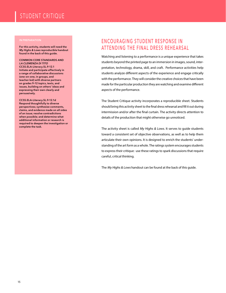## STUDENT CRITIQUE

For this activity, students will need the My Highs & Lows reproducible handout found in the back of this guide.

COMMON CORE STANDARDS AND LA CLEMENZA DI TITO CCSS.ELA-Literacy.SL.9-12.1 Initiate and participate effectively in a range of collaborative discussions (one-on-one, in groups, and teacher-led) with diverse partners on grades 9–12 topics, texts, and issues, building on others' ideas and expressing their own clearly and persuasively.

CCSS.ELA-Literacy.SL.9-12.1d Respond thoughtfully to diverse perspectives; synthesize comments, claims, and evidence made on all sides of an issue; resolve contradictions when possible; and determine what additional information or research is required to deepen the investigation or complete the task.

### ENCOURAGING STUDENT RESPONSE IN ATTENDING THE FINAL DRESS REHEARSAL

Watching and listening to a performance is a unique experience that takes students beyond the printed page to an immersion in images, sound, interpretation, technology, drama, skill, and craft. Performance activities help students analyze different aspects of the experience and engage critically with the performance. They will consider the creative choices that have been made for the particular production they are watching and examine different aspects of the performance.

The Student Critique activity incorporates a reproducible sheet. Students should bring this activity sheet to the final dress rehearsal and fill it out during intermission and/or after the final curtain. The activity directs attention to details of the production that might otherwise go unnoticed.

The activity sheet is called My Highs & Lows. It serves to quide students toward a consistent set of objective observations, as well as to help them articulate their own opinions. It is designed to enrich the students' understanding of the art form as a whole. The ratings system encourages students to express their critique: use these ratings to spark discussions that require careful, critical thinking.

The My Highs & Lows handout can be found at the back of this guide.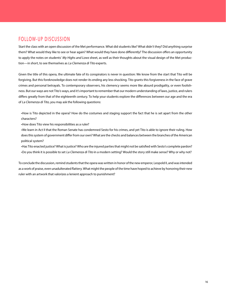### FOLLOW-UP DISCUSSION

Start the class with an open discussion of the Met performance. What did students like? What didn't they? Did anything surprise them? What would they like to see or hear again? What would they have done differently? The discussion offers an opportunity to apply the notes on students' My Highs and Lows sheet, as well as their thoughts about the visual design of the Met production—in short, to see themselves as La Clemenza di Tito experts.

Given the title of this opera, the ultimate fate of its conspirators is never in question: We know from the start that Tito will be forgiving. But this foreknowledge does not render its ending any less shocking. Tito grants this forgiveness in the face of grave crimes and personal betrayals. To contemporary observers, his clemency seems more like absurd prodigality, or even foolishness. But our ways are not Tito's ways, and it's important to remember that our modern understanding of laws, justice, and rulers differs greatly from that of the eighteenth century. To help your students explore the differences between our age and the era of La Clemenza di Tito, you may ask the following questions:

•How is Tito depicted in the opera? How do the costumes and staging support the fact that he is set apart from the other characters?

•How does Tito view his responsibilities as a ruler?

•We learn in Act II that the Roman Senate has condemned Sesto for his crimes, and yet Tito is able to ignore their ruling. How does this system of government differ from our own? What are the checks and balances between the branches of the American political system?

•Has Tito enacted justice? What is justice? Who are the injured parties that might not be satisfied with Sesto's complete pardon? •Do you think it is possible to set La Clemenza di Tito in a modern setting? Would the story still make sense? Why or why not?

To conclude the discussion, remind students that the opera was written in honor of the new emperor, Leopold II, and was intended as a work of praise, even unadulterated flattery. What might the people of the time have hoped to achieve by honoring their new ruler with an artwork that valorizes a lenient approach to punishment?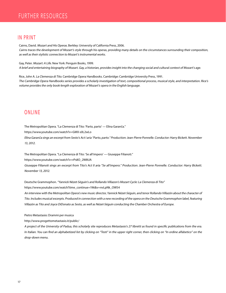### IN PRINT

Cairns, David. Mozart and His Operas. Berkley: University of California Press, 2006. Cairns traces the development of Mozart's style through his operas, providing many details on the circumstances surrounding their composition, as well as their stylistic connection to Mozart's instrumental works.

Gay, Peter. Mozart: A Life. New York: Penguin Books, 1999. A brief and entertaining biography of Mozart. Gay, a historian, provides insight into the changing social and cultural context of Mozart's age.

Rice, John A. La Clemenza di Tito. Cambridge Opera Handbooks. Cambridge: Cambridge University Press, 1991. The Cambridge Opera Handbooks series provides a scholarly investigation of text, compositional process, musical style, and interpretation. Rice's volume provides the only book-length exploration of Mozart's opera in the English language.

### ONLINE

The Metropolitan Opera. "La Clemenza di Tito: 'Parto, parto' — Elīna Garanča."

https://www.youtube.com/watch?v=GMX-s0L2wLo

Elīna Garanča sings an excerpt from Sesto's Act I aria "Parto, parto." Production: Jean-Pierre Ponnelle. Conductor: Harry Bickett. November 13, 2012.

The Metropolitan Opera. "La Clemenza di Tito: 'Se all'impero' — Giuseppe Filianoti."

https://www.youtube.com/watch?v=rPs8O\_2W8UA

Giuseppe Filianoti sings an excerpt from Tito's Act II aria "Se all'impero." Production: Jean-Pierre Ponnelle. Conductor: Harry Bickett. November 13, 2012.

Deutsche Grammophon. "Yannick Nézet-Séguin's and Rollando Villazon's Mozart Cycle: La Clemenza di Tito" https://www.youtube.com/watch?time\_continue=196&v=nvLpNk\_OW54

An interview with the Metropolitan Opera's new music director, Yannick Nézet-Séguin, and tenor Rollando Villazón about the character of Tito. Includes musical excerpts. Produced in connection with a new recording of the opera on the Deutsche Grammophon label, featuring Villazón as Tito and Joyce DiDonato as Sesto, as well as Nézet-Séguin conducting the Chamber Orchestra of Europe.

Pietro Metastasio: Drammi per musica

http://www.progettometastasio.it/public/

A project of the University of Padua, this scholarly site reproduces Metastasio's 27 libretti as found in specific publications from the era. In Italian. You can find an alphabetized list by clicking on "Testi" in the upper right corner, then clicking on "In ordine alfabetico" on the drop-down menu.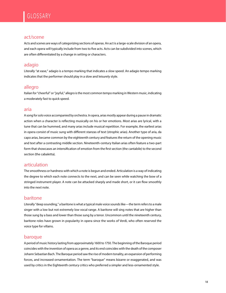#### act/scene

Acts and scenes are ways of categorizing sections of operas. An act is a large-scale division of an opera, and each opera will typically include from two to five acts. Acts can be subdivided into scenes, which are often differentiated by a change in setting or characters.

### adagio

Literally "at ease," adagio is a tempo marking that indicates a slow speed. An adagio tempo marking indicates that the performer should play in a slow and leisurely style.

#### allegro

Italian for "cheerful" or "joyful," allegro is the most common tempo marking in Western music, indicating a moderately fast to quick speed.

#### aria

A song for solo voice accompanied by orchestra. In opera, arias mostly appear during a pause in dramatic action when a character is reflecting musically on his or her emotions. Most arias are lyrical, with a tune that can be hummed, and many arias include musical repetition. For example, the earliest arias in opera consist of music sung with different stanzas of text (strophic arias). Another type of aria, da capo arias, became common by the eighteenth century and features the return of the opening music and text after a contrasting middle section. Nineteenth-century Italian arias often feature a two-part form that showcases an intensification of emotion from the first section (the cantabile) to the second section (the cabaletta).

#### articulation

The smoothness or hardness with which a note is begun and ended. Articulation is a way of indicating the degree to which each note connects to the next, and can be seen while watching the bow of a stringed instrument player. A note can be attacked sharply and made short, or it can flow smoothly into the next note.

### baritone

Literally "deep sounding," a baritone is what a typical male voice sounds like—the term refers to a male singer with a low but not extremely low vocal range. A baritone will sing notes that are higher than those sung by a bass and lower than those sung by a tenor. Uncommon until the nineteenth century, baritone roles have grown in popularity in opera since the works of Verdi, who often reserved the voice type for villains.

#### baroque

A period of music history lasting from approximately 1600 to 1750. The beginning of the Baroque period coincides with the invention of opera as a genre, and its end coincides with the death of the composer Johann Sebastian Bach. The Baroque period saw the rise of modern tonality, an expansion of performing forces, and increased ornamentation. The term "baroque" means bizarre or exaggerated, and was used by critics in the Eighteenth century critics who preferred a simpler and less-ornamented style.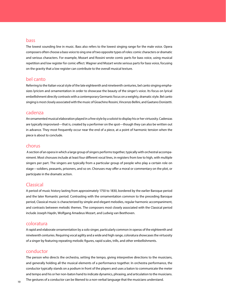#### bass

The lowest sounding line in music. Bass also refers to the lowest singing range for the male voice. Opera composers often choose a bass voice to sing one of two opposite types of roles: comic characters or dramatic and serious characters. For example, Mozart and Rossini wrote comic parts for bass voice, using musical repetition and low register for comic effect. Wagner and Mozart wrote serious parts for bass voice, focusing on the gravity that a low register can contribute to the overall musical texture.

#### bel canto

Referring to the Italian vocal style of the late eighteenth and nineteenth centuries, bel canto singing emphasizes lyricism and ornamentation in order to showcase the beauty of the singer's voice. Its focus on lyrical embellishment directly contrasts with a contemporary Germanic focus on a weighty, dramatic style. Bel canto singing is most closely associated with the music of Gioachino Rossini, Vincenzo Bellini, and Gaetano Donizetti.

#### cadenza

An ornamented musical elaboration played in a free style by a soloist to display his or her virtuosity. Cadenzas are typically improvised—that is, created by a performer on the spot—though they can also be written out in advance. They most frequently occur near the end of a piece, at a point of harmonic tension when the piece is about to conclude.

#### chorus

 A section of an opera in which a large group of singers performs together, typically with orchestral accompaniment. Most choruses include at least four different vocal lines, in registers from low to high, with multiple singers per part. The singers are typically from a particular group of people who play a certain role on stage—soldiers, peasants, prisoners, and so on. Choruses may offer a moral or commentary on the plot, or participate in the dramatic action.

#### Classical

A period of music history lasting from approximately 1750 to 1830, bordered by the earlier Baroque period and the later Romantic period. Contrasting with the ornamentation common to the preceding Baroque period, Classical music is characterized by simple and elegant melodies, regular harmonic accompaniment, and contrasts between melodic themes. The composers most closely associated with the Classical period include Joseph Haydn, Wolfgang Amadeus Mozart, and Ludwig van Beethoven.

#### coloratura

A rapid and elaborate ornamentation by a solo singer, particularly common in operas of the eighteenth and nineteenth centuries. Requiring vocal agility and a wide and high range, coloratura showcases the virtuosity of a singer by featuring repeating melodic figures, rapid scales, trills, and other embellishments.

#### conductor

The person who directs the orchestra, setting the tempo, giving interpretive directions to the musicians, and generally holding all the musical elements of a performance together. In orchestra performance, the conductor typically stands on a podium in front of the players and uses a baton to communicate the meter and tempo and his or her non-baton hand to indicate dynamics, phrasing, and articulation to the musicians. The gestures of a conductor can be likened to a non-verbal language that the musicians understand.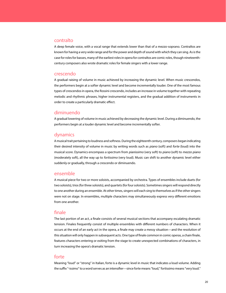#### contralto

A deep female voice, with a vocal range that extends lower than that of a mezzo-soprano. Contraltos are known for having a very wide range and for the power and depth of sound with which they can sing. As is the case for roles for basses, many of the earliest roles in opera for contraltos are comic roles, though nineteenthcentury composers also wrote dramatic roles for female singers with a lower range.

#### crescendo

A gradual raising of volume in music achieved by increasing the dynamic level. When music crescendos, the performers begin at a softer dynamic level and become incrementally louder. One of the most famous types of crescendos in opera, the Rossini crescendo, includes an increase in volume together with repeating melodic and rhythmic phrases, higher instrumental registers, and the gradual addition of instruments in order to create a particularly dramatic effect.

#### diminuendo

A gradual lowering of volume in music achieved by decreasing the dynamic level. During a diminuendo, the performers begin at a louder dynamic level and become incrementally softer.

#### dynamics

A musical trait pertaining to loudness and softness. During the eighteenth century, composers began indicating their desired intensity of volume in music by writing words such as piano (soft) and forte (loud) into the musical score. Dynamics encompass a spectrum from pianissimo (very soft) to piano (soft) to mezzo piano (moderately soft), all the way up to fortissimo (very loud). Music can shift to another dynamic level either suddenly or gradually, through a crescendo or diminuendo.

#### ensemble

A musical piece for two or more soloists, accompanied by orchestra. Types of ensembles include duets (for two soloists), trios (for three soloists), and quartets (for four soloists). Sometimes singers will respond directly to one another during an ensemble. At other times, singers will each sing to themselves as if the other singers were not on stage. In ensembles, multiple characters may simultaneously express very different emotions from one another.

#### finale

The last portion of an act, a finale consists of several musical sections that accompany escalating dramatic tension. Finales frequently consist of multiple ensembles with different numbers of characters. When it occurs at the end of an early act in the opera, a finale may create a messy situation—and the resolution of this situation will only happen in subsequent acts. One type of finale common in comic operas, a chain finale, features characters entering or exiting from the stage to create unexpected combinations of characters, in turn increasing the opera's dramatic tension.

#### forte

Meaning "loud" or "strong" in Italian, forte is a dynamic level in music that indicates a loud volume. Adding the suffix "-issimo" to a word serves as an intensifier—since forte means "loud," fortissimo means "very loud."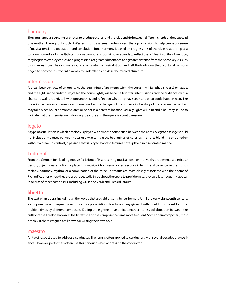#### harmony

The simultaneous sounding of pitches to produce chords, and the relationship between different chords as they succeed one another. Throughout much of Western music, systems of rules govern these progressions to help create our sense of musical tension, expectation, and conclusion. Tonal harmony is based on progressions of chords in relationship to a tonic (or home) key. In the 19th century, as composers sought novel sounds to reflect the originality of their invention, they began to employ chords and progressions of greater dissonance and greater distance from the home key. As such dissonances moved beyond mere sound effects into the musical structure itself, the traditional theory of tonal harmony began to become insufficient as a way to understand and describe musical structure.

#### intermission

A break between acts of an opera. At the beginning of an intermission, the curtain will fall (that is, close) on stage, and the lights in the auditorium, called the house lights, will become brighter. Intermissions provide audiences with a chance to walk around, talk with one another, and reflect on what they have seen and what could happen next. The break in the performance may also correspond with a change of time or scene in the story of the opera—the next act may take place hours or months later, or be set in a different location. Usually lights will dim and a bell may sound to indicate that the intermission is drawing to a close and the opera is about to resume.

#### legato

A type of articulation in which a melody is played with smooth connection between the notes. A legato passage should not include any pauses between notes or any accents at the beginnings of notes, as the notes blend into one another without a break. In contrast, a passage that is played staccato features notes played in a separated manner.

#### Leitmotif

From the German for "leading motive," a Leitmotif is a recurring musical idea, or motive that represents a particular person, object, idea, emotion, or place. This musical idea is usually a few seconds in length and can occur in the music's melody, harmony, rhythm, or a combination of the three. Leitmotifs are most closely associated with the operas of Richard Wagner, where they are used repeatedly throughout the opera to provide unity; they also less frequently appear in operas of other composers, including Giuseppe Verdi and Richard Strauss.

#### libretto

The text of an opera, including all the words that are said or sung by performers. Until the early eighteenth century, a composer would frequently set music to a pre-existing libretto, and any given libretto could thus be set to music multiple times by different composers. During the eighteenth and nineteenth centuries, collaboration between the author of the libretto, known as the librettist, and the composer became more frequent. Some opera composers, most notably Richard Wagner, are known for writing their own text.

#### maestro

A title of respect used to address a conductor. The term is often applied to conductors with several decades of experience. However, performers often use this honorific when addressing the conductor.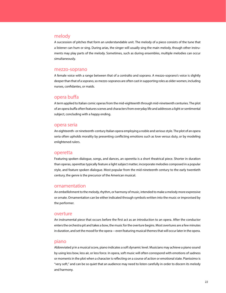### melody

A succession of pitches that form an understandable unit. The melody of a piece consists of the tune that a listener can hum or sing. During arias, the singer will usually sing the main melody, though other instruments may play parts of the melody. Sometimes, such as during ensembles, multiple melodies can occur simultaneously.

#### mezzo-soprano

A female voice with a range between that of a contralto and soprano. A mezzo-soprano's voice is slightly deeper than that of a soprano, so mezzo-sopranos are often cast in supporting roles as older women, including nurses, confidantes, or maids.

#### opera buffa

A term applied to Italian comic operas from the mid-eighteenth through mid-nineteenth centuries. The plot of an opera buffa often features scenes and characters from everyday life and addresses a light or sentimental subject, concluding with a happy ending.

#### opera seria

An eighteenth- or nineteenth-century Italian opera employing a noble and serious style. The plot of an opera seria often upholds morality by presenting conflicting emotions such as love versus duty, or by modeling enlightened rulers.

#### operetta

Featuring spoken dialogue, songs, and dances, an operetta is a short theatrical piece. Shorter in duration than operas, operettas typically feature a light subject matter, incorporate melodies composed in a popular style, and feature spoken dialogue. Most popular from the mid-nineteenth century to the early twentieth century, the genre is the precursor of the American musical.

#### ornamentation

An embellishment to the melody, rhythm, or harmony of music, intended to make a melody more expressive or ornate. Ornamentation can be either indicated through symbols written into the music or improvised by the performer.

#### overture

An instrumental piece that occurs before the first act as an introduction to an opera. After the conductor enters the orchestra pit and takes a bow, the music for the overture begins. Most overtures are a few minutes in duration, and set the mood for the opera—even featuring musical themes that will occur later in the opera.

#### piano

Abbreviated p in a musical score, piano indicates a soft dynamic level. Musicians may achieve a piano sound by using less bow, less air, or less force. In opera, soft music will often correspond with emotions of sadness or moments in the plot when a character is reflecting on a course of action or emotional state. Pianissimo is "very soft," and can be so quiet that an audience may need to listen carefully in order to discern its melody and harmony.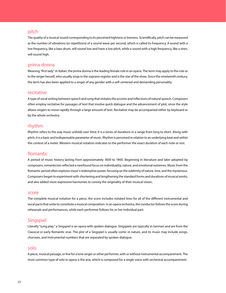#### pitch

The quality of a musical sound corresponding to its perceived highness or lowness. Scientifically, pitch can be measured as the number of vibrations (or repetitions) of a sound wave per second, which is called its frequency. A sound with a low frequency, like a bass drum, will sound low and have a low pitch, while a sound with a high frequency, like a siren, will sound high.

#### prima donna

Meaning "first lady" in Italian, the prima donna is the leading female role in an opera. The term may apply to the role or to the singer herself, who usually sings in the soprano register and is the star of the show. Since the nineteenth century, the term has also been applied to a singer of any gender with a self-centered and demanding personality.

#### recitative

A type of vocal writing between speech and song that imitates the accents and inflections of natural speech. Composers often employ recitative for passages of text that involve quick dialogue and the advancement of plot, since the style allows singers to move rapidly through a large amount of text. Recitative may be accompanied either by keyboard or by the whole orchestra.

#### rhythm

Rhythm refers to the way music unfolds over time; it is a series of durations in a range from long to short. Along with pitch, it is a basic and indispensable parameter of music. Rhythm is perceived in relation to an underlying beat and within the context of a meter. Western musical notation indicates to the performer the exact duration of each note or rest.

#### Romantic

A period of music history lasting from approximately 1830 to 1900. Beginning in literature and later adopted by composers, romanticism reflected a newfound focus on individuality, nature, and emotional extremes. Music from the Romantic period often explores music's redemptive power, focusing on the sublimity of nature, love, and the mysterious. Composers began to experiment with shortening and lengthening the standard forms and durations of musical works, and also added more expressive harmonies to convey the originality of their musical vision.

#### score

The complete musical notation for a piece, the score includes notated lines for all of the different instrumental and vocal parts that unite to constitute a musical composition. In an opera orchestra, the conductor follows the score during rehearsals and performances, while each performer follows his or her individual part.

#### **Singspiel**

Literally "sung play," a Singspiel is an opera with spoken dialogue. Singspiels are typically in German and are from the Classical or early Romantic eras. The plot of a Singspiel is usually comic in nature, and its music may include songs, choruses, and instrumental numbers that are separated by spoken dialogue.

#### solo

A piece, musical passage, or line for a lone singer or other performer, with or without instrumental accompaniment. The most common type of solo in opera is the aria, which is composed for a single voice with orchestral accompaniment.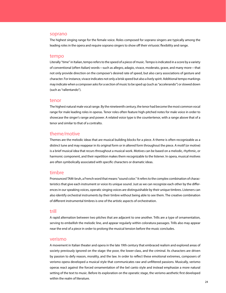#### soprano

The highest singing range for the female voice. Roles composed for soprano singers are typically among the leading roles in the opera and require soprano singers to show off their virtuosic flexibility and range.

#### tempo

Literally "time" in Italian, tempo refers to the speed of a piece of music. Tempo is indicated in a score by a variety of conventional (often Italian) words—such as allegro, adagio, vivace, moderato, grave, and many more—that not only provide direction on the composer's desired rate of speed, but also carry associations of gesture and character. For instance, vivace indicates not only a brisk speed but also a lively spirit. Additional tempo markings may indicate when a composer asks for a section of music to be sped up (such as "accelerando") or slowed down (such as "rallentando").

#### tenor

The highest natural male vocal range. By the nineteenth century, the tenor had become the most common vocal range for male leading roles in operas. Tenor roles often feature high-pitched notes for male voice in order to showcase the singer's range and power. A related voice type is the countertenor, with a range above that of a tenor and similar to that of a contralto.

#### theme/motive

Themes are the melodic ideas that are musical building blocks for a piece. A theme is often recognizable as a distinct tune and may reappear in its original form or in altered form throughout the piece. A motif (or motive) is a brief musical idea that recurs throughout a musical work. Motives can be based on a melodic, rhythmic, or harmonic component, and their repetition makes them recognizable to the listener. In opera, musical motives are often symbolically associated with specific characters or dramatic ideas.

#### timbre

Pronounced TAM-bruh, a French word that means "sound color." It refers to the complex combination of characteristics that give each instrument or voice its unique sound. Just as we can recognize each other by the differences in our speaking voices, operatic singing voices are distinguishable by their unique timbres. Listeners can also identify orchestral instruments by their timbre without being able to see them. The creative combination of different instrumental timbres is one of the artistic aspects of orchestration.

#### trill

A rapid alternation between two pitches that are adjacent to one another. Trills are a type of ornamentation, serving to embellish the melodic line, and appear regularly within coloratura passages. Trills also may appear near the end of a piece in order to prolong the musical tension before the music concludes.

#### verismo

A movement in Italian theater and opera in the late 19th century that embraced realism and explored areas of society previously ignored on the stage: the poor, the lower-class, and the criminal. Its characters are driven by passion to defy reason, morality, and the law. In order to reflect these emotional extremes, composers of verismo opera developed a musical style that communicates raw and unfiltered passions. Musically, verismo operas react against the forced ornamentation of the bel canto style and instead emphasize a more natural setting of the text to music. Before its exploration on the operatic stage, the verismo aesthetic first developed within the realm of literature.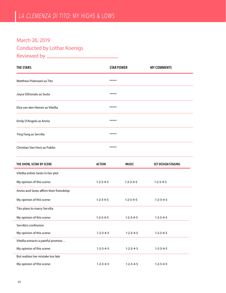### March 26, 2019 Conducted by Lothar Koenigs Reviewed by

| <b>THE STARS:</b>                       |                     | <b>STAR POWER</b>   |                           |
|-----------------------------------------|---------------------|---------------------|---------------------------|
| Matthew Polenzani as Tito               | *****               |                     |                           |
| Joyce DiDonato as Sesto                 | *****               |                     |                           |
| Elza van den Heever as Vitellia         |                     |                     |                           |
| Emily D'Angelo as Annio                 | *****               |                     |                           |
| Ying Fang as Servilia                   | *****               |                     |                           |
| Christian Van Horn as Publio            | *****               |                     |                           |
| THE SHOW, SCENE BY SCENE                | <b>ACTION</b>       | <b>MUSIC</b>        | <b>SET DESIGN/STAGING</b> |
| Vitellia enlists Sesto in her plot      |                     |                     |                           |
| My opinion of this scene:               | $1 - 2 - 3 - 4 - 5$ | $1 - 2 - 3 - 4 - 5$ | $1 - 2 - 3 - 4 - 5$       |
| Annio and Sesto affirm their friendship |                     |                     |                           |
| My opinion of this scene:               | $1 - 2 - 3 - 4 - 5$ | $1 - 2 - 3 - 4 - 5$ | $1 - 2 - 3 - 4 - 5$       |
| Tito plans to marry Servilia            |                     |                     |                           |
| My opinion of this scene:               | $1 - 2 - 3 - 4 - 5$ | $1 - 2 - 3 - 4 - 5$ | $1 - 2 - 3 - 4 - 5$       |
| Servilia's confession                   |                     |                     |                           |
| My opinion of this scene:               | $1 - 2 - 3 - 4 - 5$ | $1 - 2 - 3 - 4 - 5$ | $1 - 2 - 3 - 4 - 5$       |
| Vitellia extracts a painful promise     |                     |                     |                           |
| My opinion of this scene:               | $1 - 2 - 3 - 4 - 5$ | $1 - 2 - 3 - 4 - 5$ | $1 - 2 - 3 - 4 - 5$       |
| But realizes her mistake too late       |                     |                     |                           |
| My opinion of this scene:               | $1 - 2 - 3 - 4 - 5$ | $1 - 2 - 3 - 4 - 5$ | $1 - 2 - 3 - 4 - 5$       |